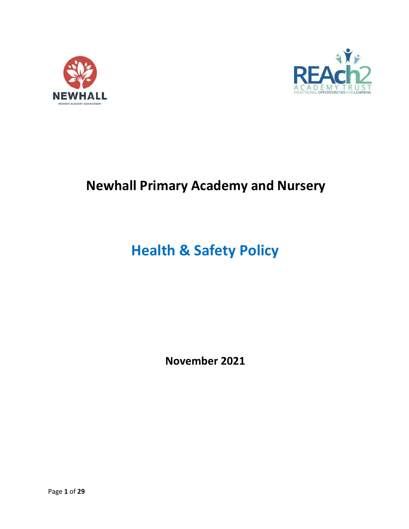



## **Newhall Primary Academy and Nursery**

# **Health & Safety Policy**

**November 2021**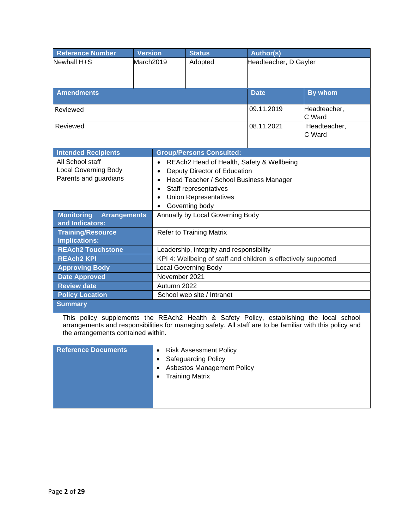| <b>Reference Number</b>                                                                                                                                                                                                                    | <b>Version</b>                                         |                                                                 | <b>Status</b>              | <b>Author(s)</b>       |                       |  |  |
|--------------------------------------------------------------------------------------------------------------------------------------------------------------------------------------------------------------------------------------------|--------------------------------------------------------|-----------------------------------------------------------------|----------------------------|------------------------|-----------------------|--|--|
| Newhall H+S<br>March2019                                                                                                                                                                                                                   |                                                        |                                                                 | Adopted                    |                        | Headteacher, D Gayler |  |  |
|                                                                                                                                                                                                                                            |                                                        |                                                                 |                            |                        |                       |  |  |
|                                                                                                                                                                                                                                            |                                                        |                                                                 |                            |                        |                       |  |  |
| <b>Amendments</b>                                                                                                                                                                                                                          |                                                        |                                                                 |                            | <b>Date</b>            | By whom               |  |  |
|                                                                                                                                                                                                                                            |                                                        |                                                                 |                            |                        |                       |  |  |
| Reviewed                                                                                                                                                                                                                                   |                                                        |                                                                 | 09.11.2019                 | Headteacher,<br>C Ward |                       |  |  |
| Reviewed                                                                                                                                                                                                                                   |                                                        |                                                                 |                            | 08.11.2021             | Headteacher,          |  |  |
|                                                                                                                                                                                                                                            |                                                        |                                                                 |                            |                        | C Ward                |  |  |
|                                                                                                                                                                                                                                            |                                                        |                                                                 |                            |                        |                       |  |  |
| <b>Intended Recipients</b>                                                                                                                                                                                                                 |                                                        | <b>Group/Persons Consulted:</b>                                 |                            |                        |                       |  |  |
| All School staff                                                                                                                                                                                                                           | REAch2 Head of Health, Safety & Wellbeing<br>$\bullet$ |                                                                 |                            |                        |                       |  |  |
| <b>Local Governing Body</b><br>Deputy Director of Education<br>$\bullet$<br>Parents and guardians                                                                                                                                          |                                                        |                                                                 |                            |                        |                       |  |  |
|                                                                                                                                                                                                                                            | Head Teacher / School Business Manager<br>$\bullet$    |                                                                 |                            |                        |                       |  |  |
|                                                                                                                                                                                                                                            | • Staff representatives                                |                                                                 |                            |                        |                       |  |  |
|                                                                                                                                                                                                                                            |                                                        | <b>Union Representatives</b><br>$\bullet$                       |                            |                        |                       |  |  |
|                                                                                                                                                                                                                                            |                                                        | • Governing body                                                |                            |                        |                       |  |  |
| <b>Monitoring</b><br><b>Arrangements</b>                                                                                                                                                                                                   |                                                        | Annually by Local Governing Body                                |                            |                        |                       |  |  |
| and Indicators:                                                                                                                                                                                                                            |                                                        |                                                                 |                            |                        |                       |  |  |
| <b>Training/Resource</b>                                                                                                                                                                                                                   |                                                        | <b>Refer to Training Matrix</b>                                 |                            |                        |                       |  |  |
| <b>Implications:</b>                                                                                                                                                                                                                       |                                                        |                                                                 |                            |                        |                       |  |  |
| <b>REAch2 Touchstone</b>                                                                                                                                                                                                                   |                                                        | Leadership, integrity and responsibility                        |                            |                        |                       |  |  |
| <b>REAch2 KPI</b>                                                                                                                                                                                                                          |                                                        | KPI 4: Wellbeing of staff and children is effectively supported |                            |                        |                       |  |  |
| <b>Approving Body</b>                                                                                                                                                                                                                      |                                                        | <b>Local Governing Body</b>                                     |                            |                        |                       |  |  |
| <b>Date Approved</b>                                                                                                                                                                                                                       |                                                        | November 2021                                                   |                            |                        |                       |  |  |
| <b>Review date</b>                                                                                                                                                                                                                         |                                                        | Autumn 2022                                                     |                            |                        |                       |  |  |
| <b>Policy Location</b>                                                                                                                                                                                                                     |                                                        |                                                                 | School web site / Intranet |                        |                       |  |  |
| <b>Summary</b>                                                                                                                                                                                                                             |                                                        |                                                                 |                            |                        |                       |  |  |
| This policy supplements the REAch2 Health & Safety Policy, establishing the local school<br>arrangements and responsibilities for managing safety. All staff are to be familiar with this policy and<br>the arrangements contained within. |                                                        |                                                                 |                            |                        |                       |  |  |
| <b>Reference Documents</b>                                                                                                                                                                                                                 |                                                        |                                                                 | • Risk Assessment Policy   |                        |                       |  |  |
|                                                                                                                                                                                                                                            |                                                        | <b>Safeguarding Policy</b><br>$\bullet$                         |                            |                        |                       |  |  |
|                                                                                                                                                                                                                                            | $\bullet$                                              | <b>Asbestos Management Policy</b>                               |                            |                        |                       |  |  |
|                                                                                                                                                                                                                                            |                                                        | <b>Training Matrix</b>                                          |                            |                        |                       |  |  |
|                                                                                                                                                                                                                                            |                                                        |                                                                 |                            |                        |                       |  |  |
|                                                                                                                                                                                                                                            |                                                        |                                                                 |                            |                        |                       |  |  |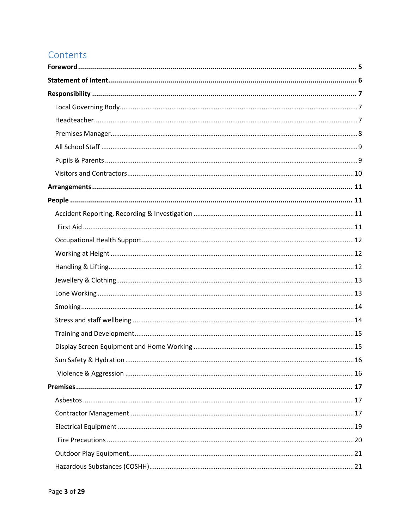## Contents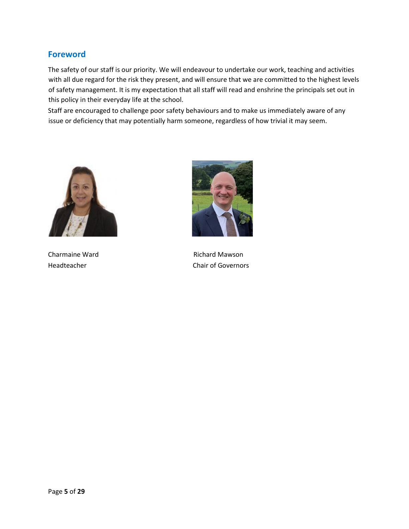### <span id="page-4-0"></span>**Foreword**

The safety of our staff is our priority. We will endeavour to undertake our work, teaching and activities with all due regard for the risk they present, and will ensure that we are committed to the highest levels of safety management. It is my expectation that all staff will read and enshrine the principals set out in this policy in their everyday life at the school.

Staff are encouraged to challenge poor safety behaviours and to make us immediately aware of any issue or deficiency that may potentially harm someone, regardless of how trivial it may seem.





Charmaine Ward **Richard Mawson** Headteacher Chair of Governors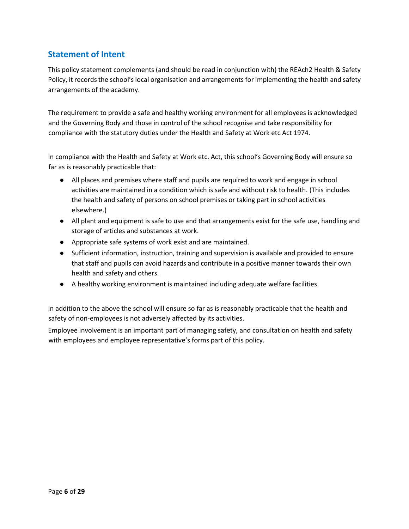## <span id="page-5-0"></span>**Statement of Intent**

This policy statement complements (and should be read in conjunction with) the REAch2 Health & Safety Policy, it records the school's local organisation and arrangements for implementing the health and safety arrangements of the academy.

The requirement to provide a safe and healthy working environment for all employees is acknowledged and the Governing Body and those in control of the school recognise and take responsibility for compliance with the statutory duties under the Health and Safety at Work etc Act 1974.

In compliance with the Health and Safety at Work etc. Act, this school's Governing Body will ensure so far as is reasonably practicable that:

- All places and premises where staff and pupils are required to work and engage in school activities are maintained in a condition which is safe and without risk to health. (This includes the health and safety of persons on school premises or taking part in school activities elsewhere.)
- All plant and equipment is safe to use and that arrangements exist for the safe use, handling and storage of articles and substances at work.
- Appropriate safe systems of work exist and are maintained.
- Sufficient information, instruction, training and supervision is available and provided to ensure that staff and pupils can avoid hazards and contribute in a positive manner towards their own health and safety and others.
- A healthy working environment is maintained including adequate welfare facilities.

In addition to the above the school will ensure so far as is reasonably practicable that the health and safety of non-employees is not adversely affected by its activities.

Employee involvement is an important part of managing safety, and consultation on health and safety with employees and employee representative's forms part of this policy.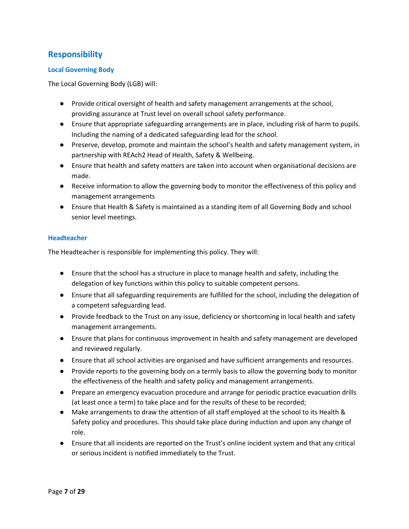## <span id="page-6-0"></span>**Responsibility**

#### <span id="page-6-1"></span>**Local Governing Body**

The Local Governing Body (LGB) will:

- Provide critical oversight of health and safety management arrangements at the school, providing assurance at Trust level on overall school safety performance.
- Ensure that appropriate safeguarding arrangements are in place, including risk of harm to pupils. Including the naming of a dedicated safeguarding lead for the school.
- Preserve, develop, promote and maintain the school's health and safety management system, in partnership with REAch2 Head of Health, Safety & Wellbeing.
- Ensure that health and safety matters are taken into account when organisational decisions are made.
- Receive information to allow the governing body to monitor the effectiveness of this policy and management arrangements
- Ensure that Health & Safety is maintained as a standing item of all Governing Body and school senior level meetings.

#### <span id="page-6-2"></span>**Headteacher**

The Headteacher is responsible for implementing this policy. They will:

- Ensure that the school has a structure in place to manage health and safety, including the delegation of key functions within this policy to suitable competent persons.
- Ensure that all safeguarding requirements are fulfilled for the school, including the delegation of a competent safeguarding lead.
- Provide feedback to the Trust on any issue, deficiency or shortcoming in local health and safety management arrangements.
- Ensure that plans for continuous improvement in health and safety management are developed and reviewed regularly.
- Ensure that all school activities are organised and have sufficient arrangements and resources.
- Provide reports to the governing body on a termly basis to allow the governing body to monitor the effectiveness of the health and safety policy and management arrangements.
- Prepare an emergency evacuation procedure and arrange for periodic practice evacuation drills (at least once a term) to take place and for the results of these to be recorded;
- Make arrangements to draw the attention of all staff employed at the school to its Health & Safety policy and procedures. This should take place during induction and upon any change of role.
- Ensure that all incidents are reported on the Trust's online incident system and that any critical or serious incident is notified immediately to the Trust.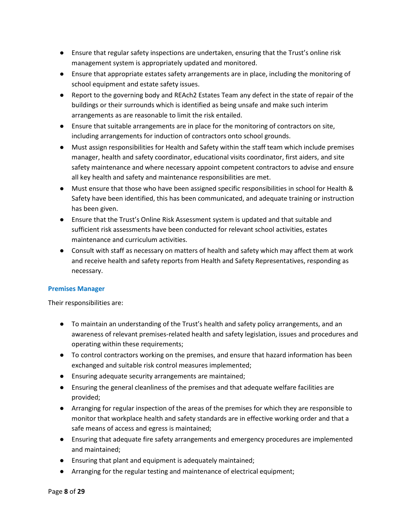- Ensure that regular safety inspections are undertaken, ensuring that the Trust's online risk management system is appropriately updated and monitored.
- Ensure that appropriate estates safety arrangements are in place, including the monitoring of school equipment and estate safety issues.
- Report to the governing body and REAch2 Estates Team any defect in the state of repair of the buildings or their surrounds which is identified as being unsafe and make such interim arrangements as are reasonable to limit the risk entailed.
- Ensure that suitable arrangements are in place for the monitoring of contractors on site, including arrangements for induction of contractors onto school grounds.
- Must assign responsibilities for Health and Safety within the staff team which include premises manager, health and safety coordinator, educational visits coordinator, first aiders, and site safety maintenance and where necessary appoint competent contractors to advise and ensure all key health and safety and maintenance responsibilities are met.
- Must ensure that those who have been assigned specific responsibilities in school for Health & Safety have been identified, this has been communicated, and adequate training or instruction has been given.
- Ensure that the Trust's Online Risk Assessment system is updated and that suitable and sufficient risk assessments have been conducted for relevant school activities, estates maintenance and curriculum activities.
- Consult with staff as necessary on matters of health and safety which may affect them at work and receive health and safety reports from Health and Safety Representatives, responding as necessary.

#### <span id="page-7-0"></span>**Premises Manager**

Their responsibilities are:

- To maintain an understanding of the Trust's health and safety policy arrangements, and an awareness of relevant premises-related health and safety legislation, issues and procedures and operating within these requirements;
- To control contractors working on the premises, and ensure that hazard information has been exchanged and suitable risk control measures implemented;
- Ensuring adequate security arrangements are maintained;
- Ensuring the general cleanliness of the premises and that adequate welfare facilities are provided;
- Arranging for regular inspection of the areas of the premises for which they are responsible to monitor that workplace health and safety standards are in effective working order and that a safe means of access and egress is maintained;
- Ensuring that adequate fire safety arrangements and emergency procedures are implemented and maintained;
- Ensuring that plant and equipment is adequately maintained;
- Arranging for the regular testing and maintenance of electrical equipment;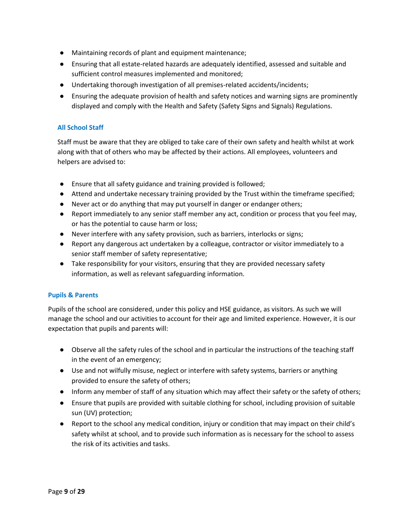- Maintaining records of plant and equipment maintenance;
- Ensuring that all estate-related hazards are adequately identified, assessed and suitable and sufficient control measures implemented and monitored;
- Undertaking thorough investigation of all premises-related accidents/incidents;
- Ensuring the adequate provision of health and safety notices and warning signs are prominently displayed and comply with the Health and Safety (Safety Signs and Signals) Regulations.

#### <span id="page-8-0"></span>**All School Staff**

Staff must be aware that they are obliged to take care of their own safety and health whilst at work along with that of others who may be affected by their actions. All employees, volunteers and helpers are advised to:

- Ensure that all safety guidance and training provided is followed;
- Attend and undertake necessary training provided by the Trust within the timeframe specified;
- Never act or do anything that may put yourself in danger or endanger others;
- Report immediately to any senior staff member any act, condition or process that you feel may, or has the potential to cause harm or loss;
- Never interfere with any safety provision, such as barriers, interlocks or signs;
- Report any dangerous act undertaken by a colleague, contractor or visitor immediately to a senior staff member of safety representative;
- Take responsibility for your visitors, ensuring that they are provided necessary safety information, as well as relevant safeguarding information.

#### <span id="page-8-1"></span>**Pupils & Parents**

Pupils of the school are considered, under this policy and HSE guidance, as visitors. As such we will manage the school and our activities to account for their age and limited experience. However, it is our expectation that pupils and parents will:

- Observe all the safety rules of the school and in particular the instructions of the teaching staff in the event of an emergency;
- Use and not wilfully misuse, neglect or interfere with safety systems, barriers or anything provided to ensure the safety of others;
- Inform any member of staff of any situation which may affect their safety or the safety of others;
- Ensure that pupils are provided with suitable clothing for school, including provision of suitable sun (UV) protection;
- Report to the school any medical condition, injury or condition that may impact on their child's safety whilst at school, and to provide such information as is necessary for the school to assess the risk of its activities and tasks.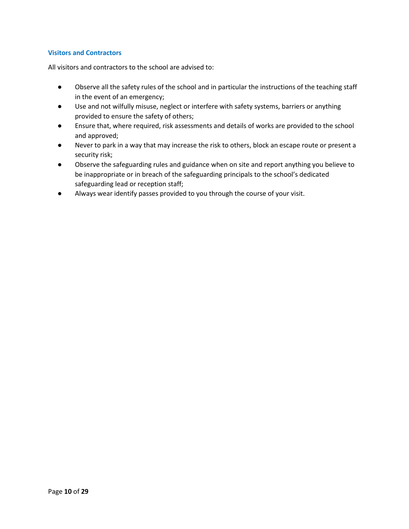#### <span id="page-9-0"></span>**Visitors and Contractors**

All visitors and contractors to the school are advised to:

- Observe all the safety rules of the school and in particular the instructions of the teaching staff in the event of an emergency;
- Use and not wilfully misuse, neglect or interfere with safety systems, barriers or anything provided to ensure the safety of others;
- Ensure that, where required, risk assessments and details of works are provided to the school and approved;
- Never to park in a way that may increase the risk to others, block an escape route or present a security risk;
- Observe the safeguarding rules and guidance when on site and report anything you believe to be inappropriate or in breach of the safeguarding principals to the school's dedicated safeguarding lead or reception staff;
- Always wear identify passes provided to you through the course of your visit.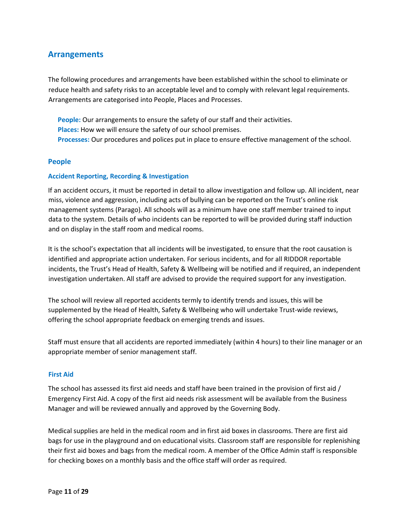### <span id="page-10-0"></span>**Arrangements**

The following procedures and arrangements have been established within the school to eliminate or reduce health and safety risks to an acceptable level and to comply with relevant legal requirements. Arrangements are categorised into People, Places and Processes.

**People:** Our arrangements to ensure the safety of our staff and their activities. **Places:** How we will ensure the safety of our school premises. **Processes:** Our procedures and polices put in place to ensure effective management of the school.

#### <span id="page-10-1"></span>**People**

#### <span id="page-10-2"></span>**Accident Reporting, Recording & Investigation**

If an accident occurs, it must be reported in detail to allow investigation and follow up. All incident, near miss, violence and aggression, including acts of bullying can be reported on the Trust's online risk management systems (Parago). All schools will as a minimum have one staff member trained to input data to the system. Details of who incidents can be reported to will be provided during staff induction and on display in the staff room and medical rooms.

It is the school's expectation that all incidents will be investigated, to ensure that the root causation is identified and appropriate action undertaken. For serious incidents, and for all RIDDOR reportable incidents, the Trust's Head of Health, Safety & Wellbeing will be notified and if required, an independent investigation undertaken. All staff are advised to provide the required support for any investigation.

The school will review all reported accidents termly to identify trends and issues, this will be supplemented by the Head of Health, Safety & Wellbeing who will undertake Trust-wide reviews, offering the school appropriate feedback on emerging trends and issues.

Staff must ensure that all accidents are reported immediately (within 4 hours) to their line manager or an appropriate member of senior management staff.

#### <span id="page-10-3"></span>**First Aid**

The school has assessed its first aid needs and staff have been trained in the provision of first aid / Emergency First Aid. A copy of the first aid needs risk assessment will be available from the Business Manager and will be reviewed annually and approved by the Governing Body.

Medical supplies are held in the medical room and in first aid boxes in classrooms. There are first aid bags for use in the playground and on educational visits. Classroom staff are responsible for replenishing their first aid boxes and bags from the medical room. A member of the Office Admin staff is responsible for checking boxes on a monthly basis and the office staff will order as required.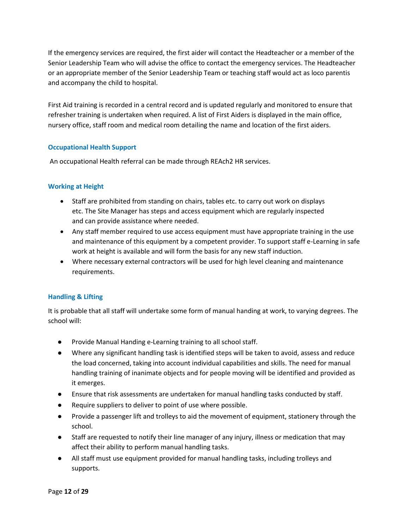If the emergency services are required, the first aider will contact the Headteacher or a member of the Senior Leadership Team who will advise the office to contact the emergency services. The Headteacher or an appropriate member of the Senior Leadership Team or teaching staff would act as loco parentis and accompany the child to hospital.

First Aid training is recorded in a central record and is updated regularly and monitored to ensure that refresher training is undertaken when required. A list of First Aiders is displayed in the main office, nursery office, staff room and medical room detailing the name and location of the first aiders.

#### <span id="page-11-0"></span>**Occupational Health Support**

An occupational Health referral can be made through REAch2 HR services.

#### <span id="page-11-1"></span>**Working at Height**

- Staff are prohibited from standing on chairs, tables etc. to carry out work on displays etc. The Site Manager has steps and access equipment which are regularly inspected and can provide assistance where needed.
- Any staff member required to use access equipment must have appropriate training in the use and maintenance of this equipment by a competent provider. To support staff e-Learning in safe work at height is available and will form the basis for any new staff induction.
- Where necessary external contractors will be used for high level cleaning and maintenance requirements.

#### <span id="page-11-2"></span>**Handling & Lifting**

It is probable that all staff will undertake some form of manual handing at work, to varying degrees. The school will:

- Provide Manual Handing e-Learning training to all school staff.
- Where any significant handling task is identified steps will be taken to avoid, assess and reduce the load concerned, taking into account individual capabilities and skills. The need for manual handling training of inanimate objects and for people moving will be identified and provided as it emerges.
- Ensure that risk assessments are undertaken for manual handling tasks conducted by staff.
- Require suppliers to deliver to point of use where possible.
- Provide a passenger lift and trolleys to aid the movement of equipment, stationery through the school.
- Staff are requested to notify their line manager of any injury, illness or medication that may affect their ability to perform manual handling tasks.
- All staff must use equipment provided for manual handling tasks, including trolleys and supports.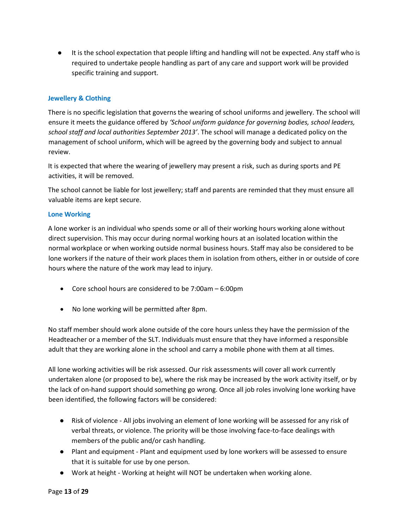● It is the school expectation that people lifting and handling will not be expected. Any staff who is required to undertake people handling as part of any care and support work will be provided specific training and support.

#### <span id="page-12-0"></span>**Jewellery & Clothing**

There is no specific legislation that governs the wearing of school uniforms and jewellery. The school will ensure it meets the guidance offered by *'School uniform guidance for governing bodies, school leaders, school staff and local authorities September 2013'*. The school will manage a dedicated policy on the management of school uniform, which will be agreed by the governing body and subject to annual review.

It is expected that where the wearing of jewellery may present a risk, such as during sports and PE activities, it will be removed.

The school cannot be liable for lost jewellery; staff and parents are reminded that they must ensure all valuable items are kept secure.

#### <span id="page-12-1"></span>**Lone Working**

A lone worker is an individual who spends some or all of their working hours working alone without direct supervision. This may occur during normal working hours at an isolated location within the normal workplace or when working outside normal business hours. Staff may also be considered to be lone workers if the nature of their work places them in isolation from others, either in or outside of core hours where the nature of the work may lead to injury.

- Core school hours are considered to be 7:00am 6:00pm
- No lone working will be permitted after 8pm.

No staff member should work alone outside of the core hours unless they have the permission of the Headteacher or a member of the SLT. Individuals must ensure that they have informed a responsible adult that they are working alone in the school and carry a mobile phone with them at all times.

All lone working activities will be risk assessed. Our risk assessments will cover all work currently undertaken alone (or proposed to be), where the risk may be increased by the work activity itself, or by the lack of on-hand support should something go wrong. Once all job roles involving lone working have been identified, the following factors will be considered:

- Risk of violence All jobs involving an element of lone working will be assessed for any risk of verbal threats, or violence. The priority will be those involving face-to-face dealings with members of the public and/or cash handling.
- Plant and equipment Plant and equipment used by lone workers will be assessed to ensure that it is suitable for use by one person.
- Work at height Working at height will NOT be undertaken when working alone.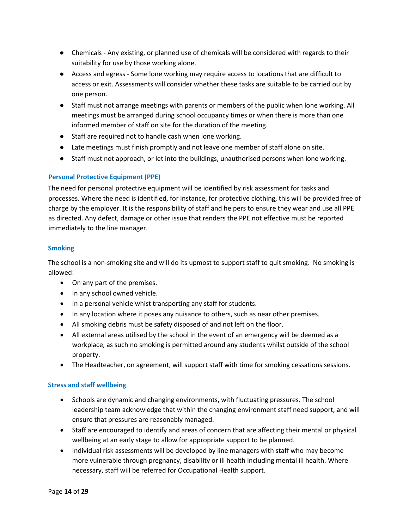- Chemicals Any existing, or planned use of chemicals will be considered with regards to their suitability for use by those working alone.
- Access and egress Some lone working may require access to locations that are difficult to access or exit. Assessments will consider whether these tasks are suitable to be carried out by one person.
- Staff must not arrange meetings with parents or members of the public when lone working. All meetings must be arranged during school occupancy times or when there is more than one informed member of staff on site for the duration of the meeting.
- Staff are required not to handle cash when lone working.
- Late meetings must finish promptly and not leave one member of staff alone on site.
- Staff must not approach, or let into the buildings, unauthorised persons when lone working.

#### **Personal Protective Equipment (PPE)**

The need for personal protective equipment will be identified by risk assessment for tasks and processes. Where the need is identified, for instance, for protective clothing, this will be provided free of charge by the employer. It is the responsibility of staff and helpers to ensure they wear and use all PPE as directed. Any defect, damage or other issue that renders the PPE not effective must be reported immediately to the line manager.

#### <span id="page-13-0"></span>**Smoking**

The school is a non-smoking site and will do its upmost to support staff to quit smoking. No smoking is allowed:

- On any part of the premises.
- In any school owned vehicle.
- In a personal vehicle whist transporting any staff for students.
- In any location where it poses any nuisance to others, such as near other premises.
- All smoking debris must be safety disposed of and not left on the floor.
- All external areas utilised by the school in the event of an emergency will be deemed as a workplace, as such no smoking is permitted around any students whilst outside of the school property.
- The Headteacher, on agreement, will support staff with time for smoking cessations sessions.

#### <span id="page-13-1"></span>**Stress and staff wellbeing**

- Schools are dynamic and changing environments, with fluctuating pressures. The school leadership team acknowledge that within the changing environment staff need support, and will ensure that pressures are reasonably managed.
- Staff are encouraged to identify and areas of concern that are affecting their mental or physical wellbeing at an early stage to allow for appropriate support to be planned.
- Individual risk assessments will be developed by line managers with staff who may become more vulnerable through pregnancy, disability or ill health including mental ill health. Where necessary, staff will be referred for Occupational Health support.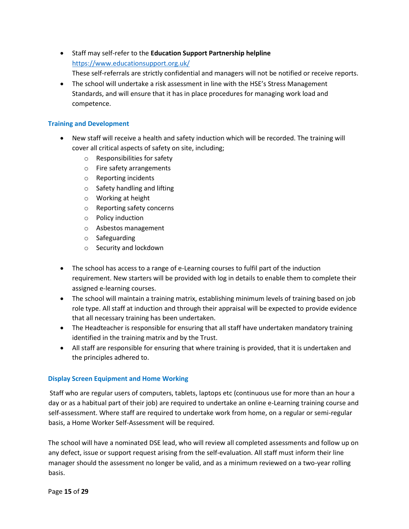- Staff may self-refer to the **Education Support Partnership helpline** <https://www.educationsupport.org.uk/> These self-referrals are strictly confidential and managers will not be notified or receive reports.
- The school will undertake a risk assessment in line with the HSE's Stress Management Standards, and will ensure that it has in place procedures for managing work load and competence.

#### <span id="page-14-0"></span>**Training and Development**

- New staff will receive a health and safety induction which will be recorded. The training will cover all critical aspects of safety on site, including;
	- o Responsibilities for safety
	- o Fire safety arrangements
	- o Reporting incidents
	- o Safety handling and lifting
	- o Working at height
	- o Reporting safety concerns
	- o Policy induction
	- o Asbestos management
	- o Safeguarding
	- o Security and lockdown
- The school has access to a range of e-Learning courses to fulfil part of the induction requirement. New starters will be provided with log in details to enable them to complete their assigned e-learning courses.
- The school will maintain a training matrix, establishing minimum levels of training based on job role type. All staff at induction and through their appraisal will be expected to provide evidence that all necessary training has been undertaken.
- The Headteacher is responsible for ensuring that all staff have undertaken mandatory training identified in the training matrix and by the Trust.
- All staff are responsible for ensuring that where training is provided, that it is undertaken and the principles adhered to.

#### <span id="page-14-1"></span>**Display Screen Equipment and Home Working**

Staff who are regular users of computers, tablets, laptops etc (continuous use for more than an hour a day or as a habitual part of their job) are required to undertake an online e-Learning training course and self-assessment. Where staff are required to undertake work from home, on a regular or semi-regular basis, a Home Worker Self-Assessment will be required.

The school will have a nominated DSE lead, who will review all completed assessments and follow up on any defect, issue or support request arising from the self-evaluation. All staff must inform their line manager should the assessment no longer be valid, and as a minimum reviewed on a two-year rolling basis.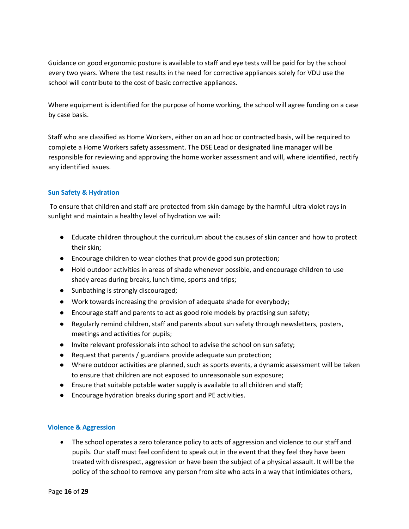Guidance on good ergonomic posture is available to staff and eye tests will be paid for by the school every two years. Where the test results in the need for corrective appliances solely for VDU use the school will contribute to the cost of basic corrective appliances.

Where equipment is identified for the purpose of home working, the school will agree funding on a case by case basis.

Staff who are classified as Home Workers, either on an ad hoc or contracted basis, will be required to complete a Home Workers safety assessment. The DSE Lead or designated line manager will be responsible for reviewing and approving the home worker assessment and will, where identified, rectify any identified issues.

#### <span id="page-15-0"></span>**Sun Safety & Hydration**

To ensure that children and staff are protected from skin damage by the harmful ultra-violet rays in sunlight and maintain a healthy level of hydration we will:

- Educate children throughout the curriculum about the causes of skin cancer and how to protect their skin;
- Encourage children to wear clothes that provide good sun protection;
- Hold outdoor activities in areas of shade whenever possible, and encourage children to use shady areas during breaks, lunch time, sports and trips;
- Sunbathing is strongly discouraged;
- Work towards increasing the provision of adequate shade for everybody;
- Encourage staff and parents to act as good role models by practising sun safety;
- Regularly remind children, staff and parents about sun safety through newsletters, posters, meetings and activities for pupils;
- Invite relevant professionals into school to advise the school on sun safety;
- Request that parents / guardians provide adequate sun protection;
- Where outdoor activities are planned, such as sports events, a dynamic assessment will be taken to ensure that children are not exposed to unreasonable sun exposure;
- Ensure that suitable potable water supply is available to all children and staff;
- Encourage hydration breaks during sport and PE activities.

#### <span id="page-15-1"></span>**Violence & Aggression**

• The school operates a zero tolerance policy to acts of aggression and violence to our staff and pupils. Our staff must feel confident to speak out in the event that they feel they have been treated with disrespect, aggression or have been the subject of a physical assault. It will be the policy of the school to remove any person from site who acts in a way that intimidates others,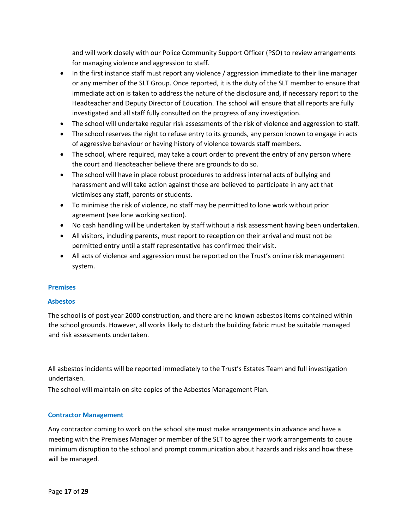and will work closely with our Police Community Support Officer (PSO) to review arrangements for managing violence and aggression to staff.

- In the first instance staff must report any violence / aggression immediate to their line manager or any member of the SLT Group. Once reported, it is the duty of the SLT member to ensure that immediate action is taken to address the nature of the disclosure and, if necessary report to the Headteacher and Deputy Director of Education. The school will ensure that all reports are fully investigated and all staff fully consulted on the progress of any investigation.
- The school will undertake regular risk assessments of the risk of violence and aggression to staff.
- The school reserves the right to refuse entry to its grounds, any person known to engage in acts of aggressive behaviour or having history of violence towards staff members.
- The school, where required, may take a court order to prevent the entry of any person where the court and Headteacher believe there are grounds to do so.
- The school will have in place robust procedures to address internal acts of bullying and harassment and will take action against those are believed to participate in any act that victimises any staff, parents or students.
- To minimise the risk of violence, no staff may be permitted to lone work without prior agreement (see lone working section).
- No cash handling will be undertaken by staff without a risk assessment having been undertaken.
- All visitors, including parents, must report to reception on their arrival and must not be permitted entry until a staff representative has confirmed their visit.
- All acts of violence and aggression must be reported on the Trust's online risk management system.

#### <span id="page-16-0"></span>**Premises**

#### <span id="page-16-1"></span>**Asbestos**

The school is of post year 2000 construction, and there are no known asbestos items contained within the school grounds. However, all works likely to disturb the building fabric must be suitable managed and risk assessments undertaken.

All asbestos incidents will be reported immediately to the Trust's Estates Team and full investigation undertaken.

The school will maintain on site copies of the Asbestos Management Plan.

#### <span id="page-16-2"></span>**Contractor Management**

Any contractor coming to work on the school site must make arrangements in advance and have a meeting with the Premises Manager or member of the SLT to agree their work arrangements to cause minimum disruption to the school and prompt communication about hazards and risks and how these will be managed.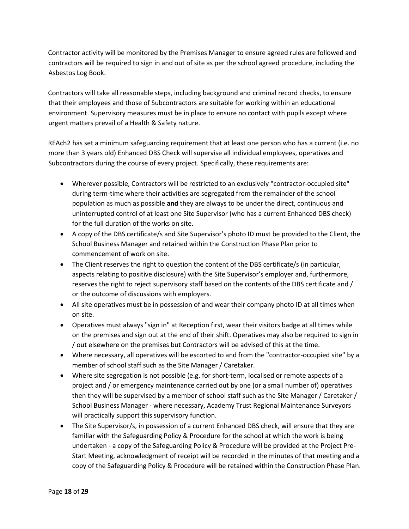Contractor activity will be monitored by the Premises Manager to ensure agreed rules are followed and contractors will be required to sign in and out of site as per the school agreed procedure, including the Asbestos Log Book.

Contractors will take all reasonable steps, including background and criminal record checks, to ensure that their employees and those of Subcontractors are suitable for working within an educational environment. Supervisory measures must be in place to ensure no contact with pupils except where urgent matters prevail of a Health & Safety nature.

REAch2 has set a minimum safeguarding requirement that at least one person who has a current (i.e. no more than 3 years old) Enhanced DBS Check will supervise all individual employees, operatives and Subcontractors during the course of every project. Specifically, these requirements are:

- Wherever possible, Contractors will be restricted to an exclusively "contractor-occupied site" during term-time where their activities are segregated from the remainder of the school population as much as possible **and** they are always to be under the direct, continuous and uninterrupted control of at least one Site Supervisor (who has a current Enhanced DBS check) for the full duration of the works on site.
- A copy of the DBS certificate/s and Site Supervisor's photo ID must be provided to the Client, the School Business Manager and retained within the Construction Phase Plan prior to commencement of work on site.
- The Client reserves the right to question the content of the DBS certificate/s (in particular, aspects relating to positive disclosure) with the Site Supervisor's employer and, furthermore, reserves the right to reject supervisory staff based on the contents of the DBS certificate and / or the outcome of discussions with employers.
- All site operatives must be in possession of and wear their company photo ID at all times when on site.
- Operatives must always "sign in" at Reception first, wear their visitors badge at all times while on the premises and sign out at the end of their shift. Operatives may also be required to sign in / out elsewhere on the premises but Contractors will be advised of this at the time.
- Where necessary, all operatives will be escorted to and from the "contractor-occupied site" by a member of school staff such as the Site Manager / Caretaker.
- Where site segregation is not possible (e.g. for short-term, localised or remote aspects of a project and / or emergency maintenance carried out by one (or a small number of) operatives then they will be supervised by a member of school staff such as the Site Manager / Caretaker / School Business Manager - where necessary, Academy Trust Regional Maintenance Surveyors will practically support this supervisory function.
- The Site Supervisor/s, in possession of a current Enhanced DBS check, will ensure that they are familiar with the Safeguarding Policy & Procedure for the school at which the work is being undertaken - a copy of the Safeguarding Policy & Procedure will be provided at the Project Pre-Start Meeting, acknowledgment of receipt will be recorded in the minutes of that meeting and a copy of the Safeguarding Policy & Procedure will be retained within the Construction Phase Plan.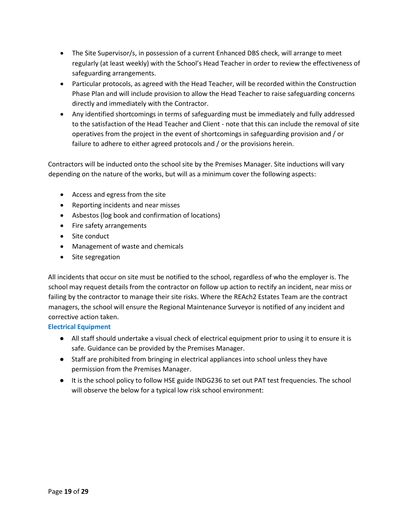- The Site Supervisor/s, in possession of a current Enhanced DBS check, will arrange to meet regularly (at least weekly) with the School's Head Teacher in order to review the effectiveness of safeguarding arrangements.
- Particular protocols, as agreed with the Head Teacher, will be recorded within the Construction Phase Plan and will include provision to allow the Head Teacher to raise safeguarding concerns directly and immediately with the Contractor.
- Any identified shortcomings in terms of safeguarding must be immediately and fully addressed to the satisfaction of the Head Teacher and Client - note that this can include the removal of site operatives from the project in the event of shortcomings in safeguarding provision and / or failure to adhere to either agreed protocols and / or the provisions herein.

Contractors will be inducted onto the school site by the Premises Manager. Site inductions will vary depending on the nature of the works, but will as a minimum cover the following aspects:

- Access and egress from the site
- Reporting incidents and near misses
- Asbestos (log book and confirmation of locations)
- Fire safety arrangements
- Site conduct
- Management of waste and chemicals
- Site segregation

All incidents that occur on site must be notified to the school, regardless of who the employer is. The school may request details from the contractor on follow up action to rectify an incident, near miss or failing by the contractor to manage their site risks. Where the REAch2 Estates Team are the contract managers, the school will ensure the Regional Maintenance Surveyor is notified of any incident and corrective action taken.

#### <span id="page-18-0"></span>**Electrical Equipment**

- All staff should undertake a visual check of electrical equipment prior to using it to ensure it is safe. Guidance can be provided by the Premises Manager.
- Staff are prohibited from bringing in electrical appliances into school unless they have permission from the Premises Manager.
- It is the school policy to follow HSE guide INDG236 to set out PAT test frequencies. The school will observe the below for a typical low risk school environment: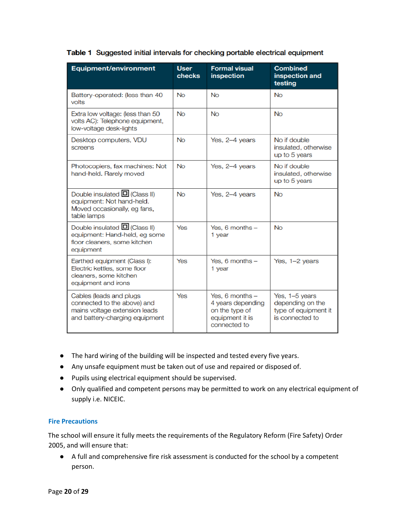| <b>Equipment/environment</b>                                                                                               | <b>User</b><br>checks | <b>Formal visual</b><br><b>inspection</b>                                                   | <b>Combined</b><br>inspection and<br>testing                                  |
|----------------------------------------------------------------------------------------------------------------------------|-----------------------|---------------------------------------------------------------------------------------------|-------------------------------------------------------------------------------|
| Battery-operated: (less than 40<br>volts                                                                                   | <b>No</b>             | <b>No</b>                                                                                   | <b>No</b>                                                                     |
| Extra low voltage: (less than 50)<br>volts AC): Telephone equipment,<br>low-voltage desk-lights                            | <b>No</b>             | No                                                                                          | <b>No</b>                                                                     |
| Desktop computers, VDU<br>screens                                                                                          | <b>No</b>             | Yes, 2-4 years                                                                              | No if double<br>insulated, otherwise<br>up to 5 years                         |
| Photocopiers, fax machines: Not<br>hand-held. Rarely moved                                                                 | N <sub>0</sub>        | Yes, 2-4 years                                                                              | No if double<br>insulated, otherwise<br>up to 5 years                         |
| Double insulated $\Box$ (Class II)<br>equipment: Not hand-held.<br>Moved occasionally, eg fans,<br>table lamps             | <b>No</b>             | Yes, 2-4 years                                                                              | <b>No</b>                                                                     |
| Double insulated $\Box$ (Class II)<br>equipment: Hand-held, eg some<br>floor cleaners, some kitchen<br>equipment           | Yes                   | Yes, 6 months $-$<br>1 year                                                                 | <b>No</b>                                                                     |
| Earthed equipment (Class I):<br>Electric kettles, some floor<br>cleaners, some kitchen<br>equipment and irons              | Yes                   | Yes, $6$ months $-$<br>1 year                                                               | Yes, 1-2 years                                                                |
| Cables (leads and plugs)<br>connected to the above) and<br>mains voltage extension leads<br>and battery-charging equipment | Yes                   | Yes, 6 months $-$<br>4 years depending<br>on the type of<br>equipment it is<br>connected to | Yes, 1-5 years<br>depending on the<br>type of equipment it<br>is connected to |

- The hard wiring of the building will be inspected and tested every five years.
- Any unsafe equipment must be taken out of use and repaired or disposed of.
- Pupils using electrical equipment should be supervised.
- Only qualified and competent persons may be permitted to work on any electrical equipment of supply i.e. NICEIC.

#### <span id="page-19-0"></span>**Fire Precautions**

The school will ensure it fully meets the requirements of the Regulatory Reform (Fire Safety) Order 2005, and will ensure that:

● A full and comprehensive fire risk assessment is conducted for the school by a competent person.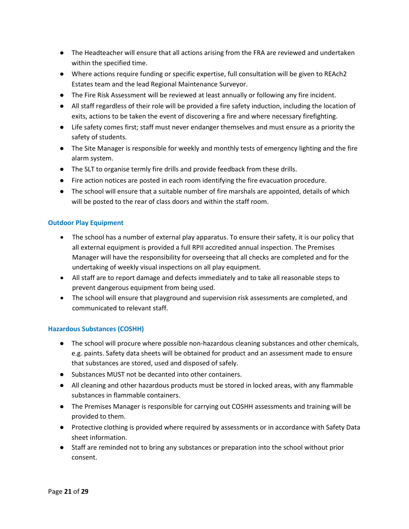- The Headteacher will ensure that all actions arising from the FRA are reviewed and undertaken within the specified time.
- Where actions require funding or specific expertise, full consultation will be given to REAch2 Estates team and the lead Regional Maintenance Surveyor.
- The Fire Risk Assessment will be reviewed at least annually or following any fire incident.
- All staff regardless of their role will be provided a fire safety induction, including the location of exits, actions to be taken the event of discovering a fire and where necessary firefighting.
- Life safety comes first; staff must never endanger themselves and must ensure as a priority the safety of students.
- The Site Manager is responsible for weekly and monthly tests of emergency lighting and the fire alarm system.
- The SLT to organise termly fire drills and provide feedback from these drills.
- Fire action notices are posted in each room identifying the fire evacuation procedure.
- The school will ensure that a suitable number of fire marshals are appointed, details of which will be posted to the rear of class doors and within the staff room.

#### <span id="page-20-0"></span>**Outdoor Play Equipment**

- The school has a number of external play apparatus. To ensure their safety, it is our policy that all external equipment is provided a full RPII accredited annual inspection. The Premises Manager will have the responsibility for overseeing that all checks are completed and for the undertaking of weekly visual inspections on all play equipment.
- All staff are to report damage and defects immediately and to take all reasonable steps to prevent dangerous equipment from being used.
- The school will ensure that playground and supervision risk assessments are completed, and communicated to relevant staff.

#### <span id="page-20-1"></span>**Hazardous Substances (COSHH)**

- The school will procure where possible non-hazardous cleaning substances and other chemicals, e.g. paints. Safety data sheets will be obtained for product and an assessment made to ensure that substances are stored, used and disposed of safely.
- Substances MUST not be decanted into other containers.
- All cleaning and other hazardous products must be stored in locked areas, with any flammable substances in flammable containers.
- The Premises Manager is responsible for carrying out COSHH assessments and training will be provided to them.
- Protective clothing is provided where required by assessments or in accordance with Safety Data sheet information.
- Staff are reminded not to bring any substances or preparation into the school without prior consent.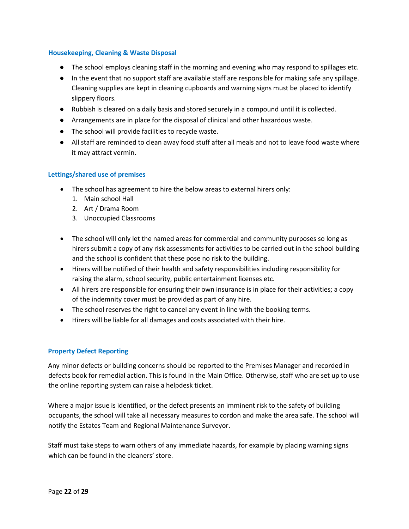#### <span id="page-21-0"></span>**Housekeeping, Cleaning & Waste Disposal**

- The school employs cleaning staff in the morning and evening who may respond to spillages etc.
- In the event that no support staff are available staff are responsible for making safe any spillage. Cleaning supplies are kept in cleaning cupboards and warning signs must be placed to identify slippery floors.
- Rubbish is cleared on a daily basis and stored securely in a compound until it is collected.
- Arrangements are in place for the disposal of clinical and other hazardous waste.
- The school will provide facilities to recycle waste.
- All staff are reminded to clean away food stuff after all meals and not to leave food waste where it may attract vermin.

#### <span id="page-21-1"></span>**Lettings/shared use of premises**

- The school has agreement to hire the below areas to external hirers only:
	- 1. Main school Hall
	- 2. Art / Drama Room
	- 3. Unoccupied Classrooms
- The school will only let the named areas for commercial and community purposes so long as hirers submit a copy of any risk assessments for activities to be carried out in the school building and the school is confident that these pose no risk to the building.
- Hirers will be notified of their health and safety responsibilities including responsibility for raising the alarm, school security, public entertainment licenses etc.
- All hirers are responsible for ensuring their own insurance is in place for their activities; a copy of the indemnity cover must be provided as part of any hire.
- The school reserves the right to cancel any event in line with the booking terms.
- Hirers will be liable for all damages and costs associated with their hire.

#### <span id="page-21-2"></span>**Property Defect Reporting**

Any minor defects or building concerns should be reported to the Premises Manager and recorded in defects book for remedial action. This is found in the Main Office. Otherwise, staff who are set up to use the online reporting system can raise a helpdesk ticket.

Where a major issue is identified, or the defect presents an imminent risk to the safety of building occupants, the school will take all necessary measures to cordon and make the area safe. The school will notify the Estates Team and Regional Maintenance Surveyor.

Staff must take steps to warn others of any immediate hazards, for example by placing warning signs which can be found in the cleaners' store.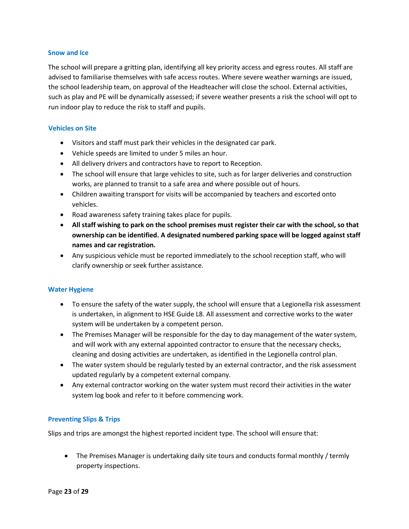#### <span id="page-22-0"></span>**Snow and Ice**

The school will prepare a gritting plan, identifying all key priority access and egress routes. All staff are advised to familiarise themselves with safe access routes. Where severe weather warnings are issued, the school leadership team, on approval of the Headteacher will close the school. External activities, such as play and PE will be dynamically assessed; if severe weather presents a risk the school will opt to run indoor play to reduce the risk to staff and pupils.

#### <span id="page-22-1"></span>**Vehicles on Site**

- Visitors and staff must park their vehicles in the designated car park.
- Vehicle speeds are limited to under 5 miles an hour.
- All delivery drivers and contractors have to report to Reception.
- The school will ensure that large vehicles to site, such as for larger deliveries and construction works, are planned to transit to a safe area and where possible out of hours.
- Children awaiting transport for visits will be accompanied by teachers and escorted onto vehicles.
- Road awareness safety training takes place for pupils.
- **All staff wishing to park on the school premises must register their car with the school, so that ownership can be identified. A designated numbered parking space will be logged against staff names and car registration.**
- Any suspicious vehicle must be reported immediately to the school reception staff, who will clarify ownership or seek further assistance.

#### <span id="page-22-2"></span>**Water Hygiene**

- To ensure the safety of the water supply, the school will ensure that a Legionella risk assessment is undertaken, in alignment to HSE Guide L8. All assessment and corrective works to the water system will be undertaken by a competent person.
- The Premises Manager will be responsible for the day to day management of the water system, and will work with any external appointed contractor to ensure that the necessary checks, cleaning and dosing activities are undertaken, as identified in the Legionella control plan.
- The water system should be regularly tested by an external contractor, and the risk assessment updated regularly by a competent external company.
- Any external contractor working on the water system must record their activities in the water system log book and refer to it before commencing work.

#### <span id="page-22-3"></span>**Preventing Slips & Trips**

Slips and trips are amongst the highest reported incident type. The school will ensure that:

• The Premises Manager is undertaking daily site tours and conducts formal monthly / termly property inspections.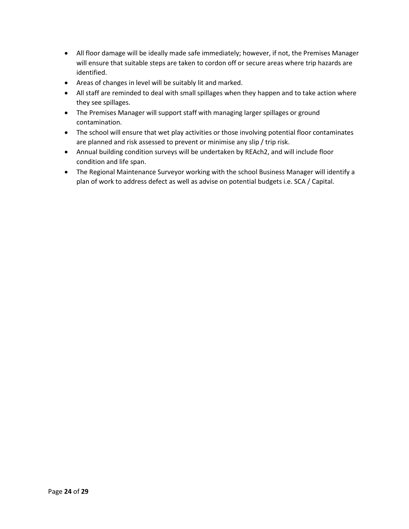- All floor damage will be ideally made safe immediately; however, if not, the Premises Manager will ensure that suitable steps are taken to cordon off or secure areas where trip hazards are identified.
- Areas of changes in level will be suitably lit and marked.
- All staff are reminded to deal with small spillages when they happen and to take action where they see spillages.
- The Premises Manager will support staff with managing larger spillages or ground contamination.
- The school will ensure that wet play activities or those involving potential floor contaminates are planned and risk assessed to prevent or minimise any slip / trip risk.
- Annual building condition surveys will be undertaken by REAch2, and will include floor condition and life span.
- The Regional Maintenance Surveyor working with the school Business Manager will identify a plan of work to address defect as well as advise on potential budgets i.e. SCA / Capital.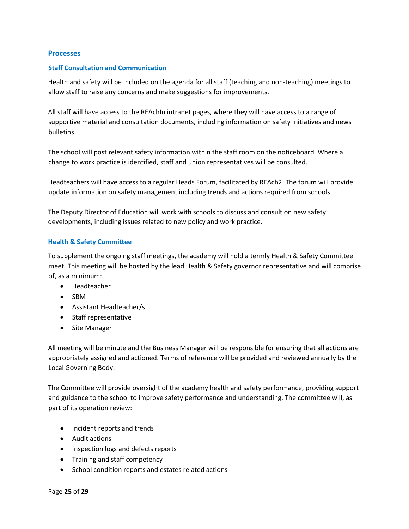#### <span id="page-24-0"></span>**Processes**

#### <span id="page-24-1"></span>**Staff Consultation and Communication**

Health and safety will be included on the agenda for all staff (teaching and non-teaching) meetings to allow staff to raise any concerns and make suggestions for improvements.

All staff will have access to the REAchIn intranet pages, where they will have access to a range of supportive material and consultation documents, including information on safety initiatives and news bulletins.

The school will post relevant safety information within the staff room on the noticeboard. Where a change to work practice is identified, staff and union representatives will be consulted.

Headteachers will have access to a regular Heads Forum, facilitated by REAch2. The forum will provide update information on safety management including trends and actions required from schools.

The Deputy Director of Education will work with schools to discuss and consult on new safety developments, including issues related to new policy and work practice.

#### <span id="page-24-2"></span>**Health & Safety Committee**

To supplement the ongoing staff meetings, the academy will hold a termly Health & Safety Committee meet. This meeting will be hosted by the lead Health & Safety governor representative and will comprise of, as a minimum:

- Headteacher
- SBM
- Assistant Headteacher/s
- Staff representative
- Site Manager

All meeting will be minute and the Business Manager will be responsible for ensuring that all actions are appropriately assigned and actioned. Terms of reference will be provided and reviewed annually by the Local Governing Body.

The Committee will provide oversight of the academy health and safety performance, providing support and guidance to the school to improve safety performance and understanding. The committee will, as part of its operation review:

- Incident reports and trends
- Audit actions
- Inspection logs and defects reports
- Training and staff competency
- School condition reports and estates related actions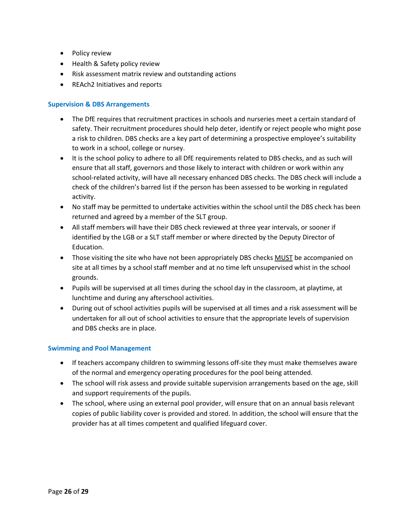- Policy review
- Health & Safety policy review
- Risk assessment matrix review and outstanding actions
- REAch2 Initiatives and reports

#### <span id="page-25-0"></span>**Supervision & DBS Arrangements**

- The DfE requires that recruitment practices in schools and nurseries meet a certain standard of safety. Their recruitment procedures should help deter, identify or reject people who might pose a risk to children. DBS checks are a key part of determining a prospective employee's suitability to work in a school, college or nursey.
- It is the school policy to adhere to all DfE requirements related to DBS checks, and as such will ensure that all staff, governors and those likely to interact with children or work within any school-related activity, will have all necessary enhanced DBS checks. The DBS check will include a check of the children's barred list if the person has been assessed to be working in regulated activity.
- No staff may be permitted to undertake activities within the school until the DBS check has been returned and agreed by a member of the SLT group.
- All staff members will have their DBS check reviewed at three year intervals, or sooner if identified by the LGB or a SLT staff member or where directed by the Deputy Director of Education.
- Those visiting the site who have not been appropriately DBS checks MUST be accompanied on site at all times by a school staff member and at no time left unsupervised whist in the school grounds.
- Pupils will be supervised at all times during the school day in the classroom, at playtime, at lunchtime and during any afterschool activities.
- During out of school activities pupils will be supervised at all times and a risk assessment will be undertaken for all out of school activities to ensure that the appropriate levels of supervision and DBS checks are in place.

#### <span id="page-25-1"></span>**Swimming and Pool Management**

- If teachers accompany children to swimming lessons off-site they must make themselves aware of the normal and emergency operating procedures for the pool being attended.
- The school will risk assess and provide suitable supervision arrangements based on the age, skill and support requirements of the pupils.
- The school, where using an external pool provider, will ensure that on an annual basis relevant copies of public liability cover is provided and stored. In addition, the school will ensure that the provider has at all times competent and qualified lifeguard cover.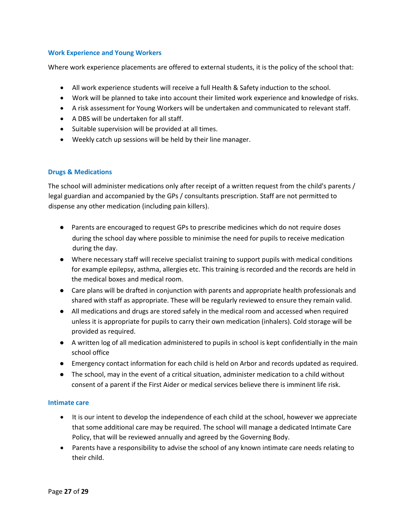#### <span id="page-26-0"></span>**Work Experience and Young Workers**

Where work experience placements are offered to external students, it is the policy of the school that:

- All work experience students will receive a full Health & Safety induction to the school.
- Work will be planned to take into account their limited work experience and knowledge of risks.
- A risk assessment for Young Workers will be undertaken and communicated to relevant staff.
- A DBS will be undertaken for all staff.
- Suitable supervision will be provided at all times.
- Weekly catch up sessions will be held by their line manager.

#### <span id="page-26-1"></span>**Drugs & Medications**

The school will administer medications only after receipt of a written request from the child's parents / legal guardian and accompanied by the GPs / consultants prescription. Staff are not permitted to dispense any other medication (including pain killers).

- Parents are encouraged to request GPs to prescribe medicines which do not require doses during the school day where possible to minimise the need for pupils to receive medication during the day.
- Where necessary staff will receive specialist training to support pupils with medical conditions for example epilepsy, asthma, allergies etc. This training is recorded and the records are held in the medical boxes and medical room.
- Care plans will be drafted in conjunction with parents and appropriate health professionals and shared with staff as appropriate. These will be regularly reviewed to ensure they remain valid.
- All medications and drugs are stored safely in the medical room and accessed when required unless it is appropriate for pupils to carry their own medication (inhalers). Cold storage will be provided as required.
- A written log of all medication administered to pupils in school is kept confidentially in the main school office
- Emergency contact information for each child is held on Arbor and records updated as required.
- The school, may in the event of a critical situation, administer medication to a child without consent of a parent if the First Aider or medical services believe there is imminent life risk.

#### <span id="page-26-2"></span>**Intimate care**

- It is our intent to develop the independence of each child at the school, however we appreciate that some additional care may be required. The school will manage a dedicated Intimate Care Policy, that will be reviewed annually and agreed by the Governing Body.
- Parents have a responsibility to advise the school of any known intimate care needs relating to their child.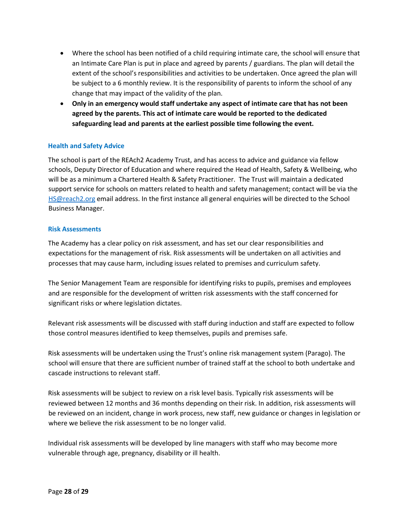- Where the school has been notified of a child requiring intimate care, the school will ensure that an Intimate Care Plan is put in place and agreed by parents / guardians. The plan will detail the extent of the school's responsibilities and activities to be undertaken. Once agreed the plan will be subject to a 6 monthly review. It is the responsibility of parents to inform the school of any change that may impact of the validity of the plan.
- **Only in an emergency would staff undertake any aspect of intimate care that has not been agreed by the parents. This act of intimate care would be reported to the dedicated safeguarding lead and parents at the earliest possible time following the event.**

#### <span id="page-27-0"></span>**Health and Safety Advice**

The school is part of the REAch2 Academy Trust, and has access to advice and guidance via fellow schools, Deputy Director of Education and where required the Head of Health, Safety & Wellbeing, who will be as a minimum a Chartered Health & Safety Practitioner. The Trust will maintain a dedicated support service for schools on matters related to health and safety management; contact will be via the [HS@reach2.org](mailto:HS@reach2.org) email address. In the first instance all general enquiries will be directed to the School Business Manager.

#### <span id="page-27-1"></span>**Risk Assessments**

The Academy has a clear policy on risk assessment, and has set our clear responsibilities and expectations for the management of risk. Risk assessments will be undertaken on all activities and processes that may cause harm, including issues related to premises and curriculum safety.

The Senior Management Team are responsible for identifying risks to pupils, premises and employees and are responsible for the development of written risk assessments with the staff concerned for significant risks or where legislation dictates.

Relevant risk assessments will be discussed with staff during induction and staff are expected to follow those control measures identified to keep themselves, pupils and premises safe.

Risk assessments will be undertaken using the Trust's online risk management system (Parago). The school will ensure that there are sufficient number of trained staff at the school to both undertake and cascade instructions to relevant staff.

Risk assessments will be subject to review on a risk level basis. Typically risk assessments will be reviewed between 12 months and 36 months depending on their risk. In addition, risk assessments will be reviewed on an incident, change in work process, new staff, new guidance or changes in legislation or where we believe the risk assessment to be no longer valid.

Individual risk assessments will be developed by line managers with staff who may become more vulnerable through age, pregnancy, disability or ill health.